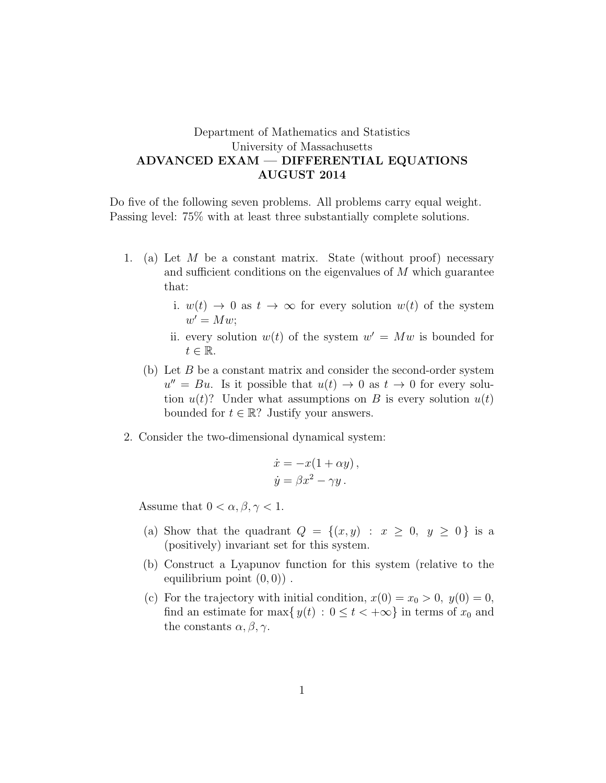## Department of Mathematics and Statistics University of Massachusetts ADVANCED EXAM — DIFFERENTIAL EQUATIONS AUGUST 2014

Do five of the following seven problems. All problems carry equal weight. Passing level: 75% with at least three substantially complete solutions.

- 1. (a) Let  $M$  be a constant matrix. State (without proof) necessary and sufficient conditions on the eigenvalues of M which guarantee that:
	- i.  $w(t) \rightarrow 0$  as  $t \rightarrow \infty$  for every solution  $w(t)$  of the system  $w' = Mw;$
	- ii. every solution  $w(t)$  of the system  $w' = Mw$  is bounded for  $t \in \mathbb{R}$ .
	- (b) Let  $B$  be a constant matrix and consider the second-order system  $u'' = Bu$ . Is it possible that  $u(t) \to 0$  as  $t \to 0$  for every solution  $u(t)$ ? Under what assumptions on B is every solution  $u(t)$ bounded for  $t \in \mathbb{R}$ ? Justify your answers.
- 2. Consider the two-dimensional dynamical system:

$$
\dot{x} = -x(1 + \alpha y), \n\dot{y} = \beta x^2 - \gamma y.
$$

Assume that  $0 < \alpha, \beta, \gamma < 1$ .

- (a) Show that the quadrant  $Q = \{(x, y) : x \geq 0, y \geq 0\}$  is a (positively) invariant set for this system.
- (b) Construct a Lyapunov function for this system (relative to the equilibrium point  $(0, 0)$ .
- (c) For the trajectory with initial condition,  $x(0) = x_0 > 0$ ,  $y(0) = 0$ , find an estimate for max $\{y(t): 0 \le t < +\infty\}$  in terms of  $x_0$  and the constants  $\alpha, \beta, \gamma$ .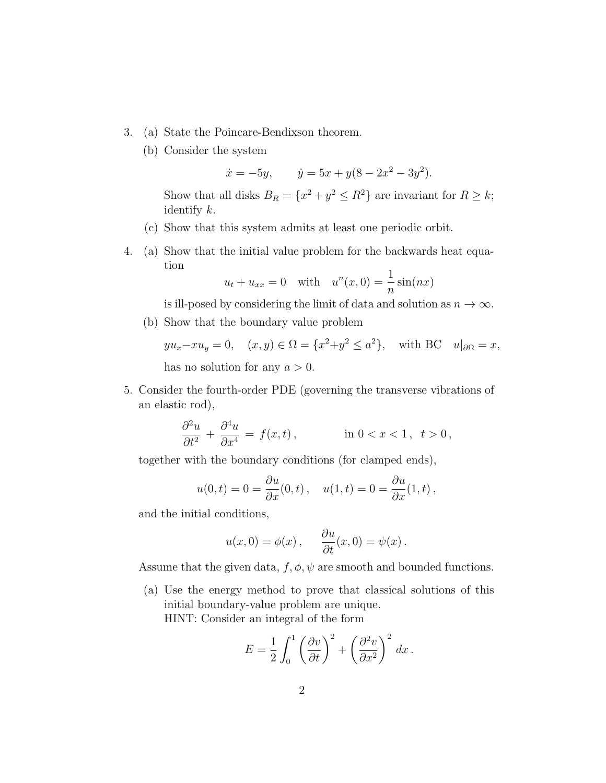- 3. (a) State the Poincare-Bendixson theorem.
	- (b) Consider the system

$$
\dot{x} = -5y
$$
,  $\dot{y} = 5x + y(8 - 2x^2 - 3y^2)$ .

Show that all disks  $B_R = \{x^2 + y^2 \le R^2\}$  are invariant for  $R \ge k$ ; identify k.

- (c) Show that this system admits at least one periodic orbit.
- 4. (a) Show that the initial value problem for the backwards heat equation

$$
u_t + u_{xx} = 0 \quad \text{with} \quad u^n(x,0) = \frac{1}{n}\sin(nx)
$$

is ill-posed by considering the limit of data and solution as  $n \to \infty$ .

(b) Show that the boundary value problem

 $yu_x - xu_y = 0$ ,  $(x, y) \in \Omega = \{x^2 + y^2 \le a^2\}$ , with BC  $u|_{\partial\Omega} = x$ , has no solution for any  $a > 0$ .

5. Consider the fourth-order PDE (governing the transverse vibrations of an elastic rod),

$$
\frac{\partial^2 u}{\partial t^2} + \frac{\partial^4 u}{\partial x^4} = f(x, t), \qquad \text{in } 0 < x < 1, \ t > 0,
$$

together with the boundary conditions (for clamped ends),

$$
u(0,t) = 0 = \frac{\partial u}{\partial x}(0,t), \quad u(1,t) = 0 = \frac{\partial u}{\partial x}(1,t),
$$

and the initial conditions,

$$
u(x, 0) = \phi(x), \quad \frac{\partial u}{\partial t}(x, 0) = \psi(x).
$$

Assume that the given data,  $f, \phi, \psi$  are smooth and bounded functions.

(a) Use the energy method to prove that classical solutions of this initial boundary-value problem are unique. HINT: Consider an integral of the form

$$
E = \frac{1}{2} \int_0^1 \left(\frac{\partial v}{\partial t}\right)^2 + \left(\frac{\partial^2 v}{\partial x^2}\right)^2 dx.
$$